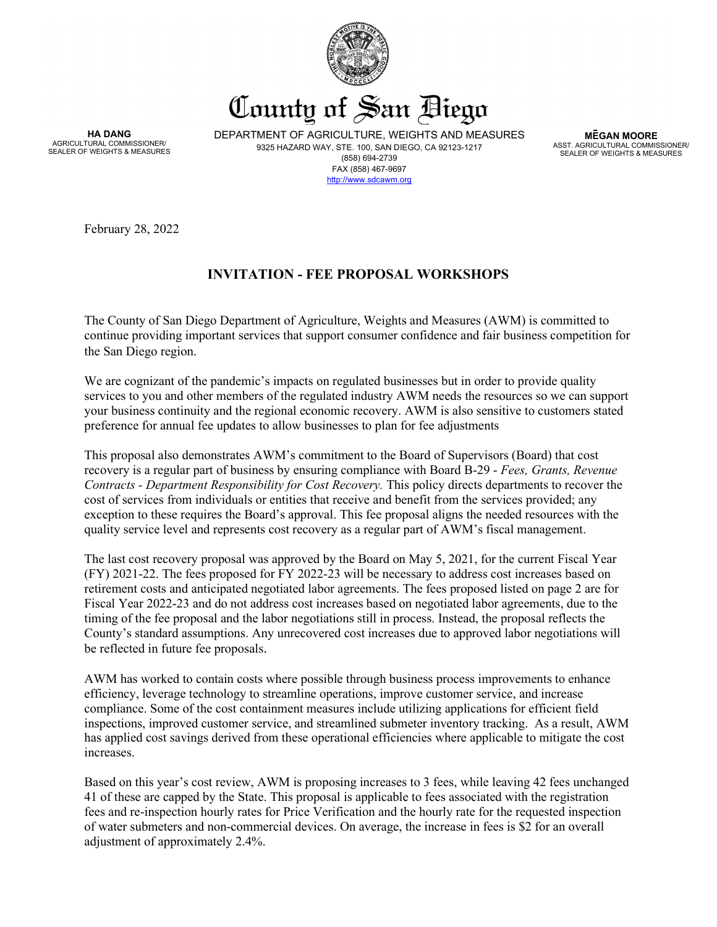

County of San Biego

**HA DANG** AGRICULTURAL COMMISSIONER/ SEALER OF WEIGHTS & MEASURES DEPARTMENT OF AGRICULTURE, WEIGHTS AND MEASURES 9325 HAZARD WAY, STE. 100, SAN DIEGO, CA 92123-1217 (858) 694-2739 FAX (858) 467-9697 [http://www.sdcawm.org](http://www.sdcawm.org/)

**MEGAN MOORE** ASST. AGRICULTURAL COMMISSIONER/ SEALER OF WEIGHTS & MEASURES

February 28, 2022

# **INVITATION - FEE PROPOSAL WORKSHOPS**

The County of San Diego Department of Agriculture, Weights and Measures (AWM) is committed to continue providing important services that support consumer confidence and fair business competition for the San Diego region.

We are cognizant of the pandemic's impacts on regulated businesses but in order to provide quality services to you and other members of the regulated industry AWM needs the resources so we can support your business continuity and the regional economic recovery. AWM is also sensitive to customers stated preference for annual fee updates to allow businesses to plan for fee adjustments

This proposal also demonstrates AWM's commitment to the Board of Supervisors (Board) that cost recovery is a regular part of business by ensuring compliance with Board B-29 - *Fees, Grants, Revenue Contracts - Department Responsibility for Cost Recovery.* This policy directs departments to recover the cost of services from individuals or entities that receive and benefit from the services provided; any exception to these requires the Board's approval. This fee proposal aligns the needed resources with the quality service level and represents cost recovery as a regular part of AWM's fiscal management.

The last cost recovery proposal was approved by the Board on May 5, 2021, for the current Fiscal Year (FY) 2021-22. The fees proposed for FY 2022-23 will be necessary to address cost increases based on retirement costs and anticipated negotiated labor agreements. The fees proposed listed on page 2 are for Fiscal Year 2022-23 and do not address cost increases based on negotiated labor agreements, due to the timing of the fee proposal and the labor negotiations still in process. Instead, the proposal reflects the County's standard assumptions. Any unrecovered cost increases due to approved labor negotiations will be reflected in future fee proposals.

AWM has worked to contain costs where possible through business process improvements to enhance efficiency, leverage technology to streamline operations, improve customer service, and increase compliance. Some of the cost containment measures include utilizing applications for efficient field inspections, improved customer service, and streamlined submeter inventory tracking. As a result, AWM has applied cost savings derived from these operational efficiencies where applicable to mitigate the cost increases.

Based on this year's cost review, AWM is proposing increases to 3 fees, while leaving 42 fees unchanged 41 of these are capped by the State. This proposal is applicable to fees associated with the registration fees and re-inspection hourly rates for Price Verification and the hourly rate for the requested inspection of water submeters and non-commercial devices. On average, the increase in fees is \$2 for an overall adjustment of approximately 2.4%.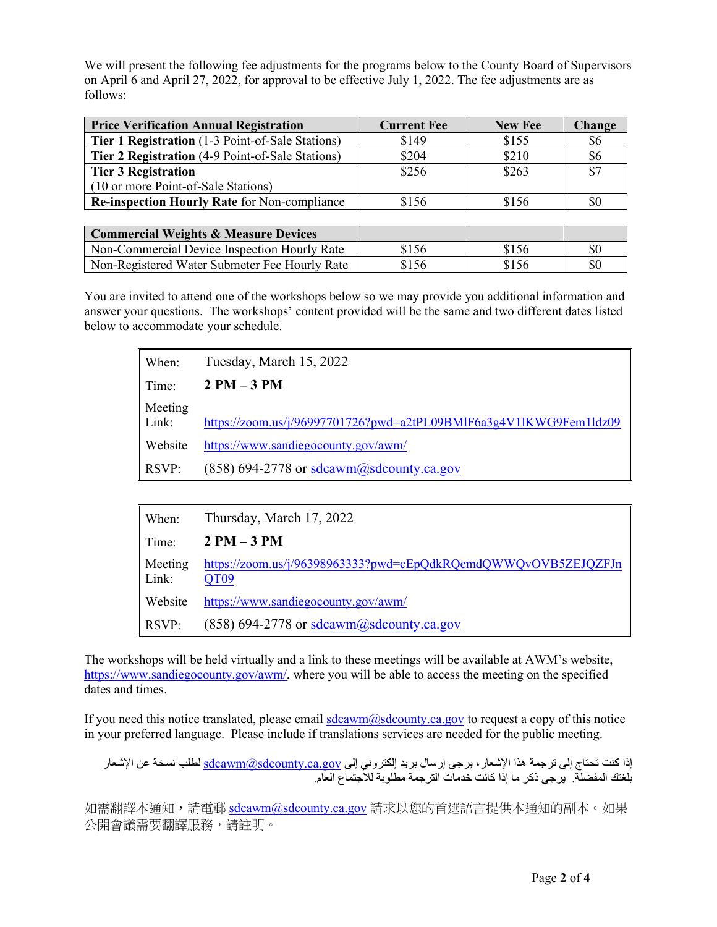We will present the following fee adjustments for the programs below to the County Board of Supervisors on April 6 and April 27, 2022, for approval to be effective July 1, 2022. The fee adjustments are as follows:

| <b>Price Verification Annual Registration</b>       | <b>Current Fee</b> | <b>New Fee</b> | <b>Change</b> |
|-----------------------------------------------------|--------------------|----------------|---------------|
| Tier 1 Registration (1-3 Point-of-Sale Stations)    | \$149              | \$155          | \$6           |
| Tier 2 Registration (4-9 Point-of-Sale Stations)    | \$204              | \$210          | \$6           |
| <b>Tier 3 Registration</b>                          | \$256              | \$263          | \$7           |
| (10 or more Point-of-Sale Stations)                 |                    |                |               |
| <b>Re-inspection Hourly Rate for Non-compliance</b> | \$156              | \$156          | \$0           |

| <b>Commercial Weights &amp; Measure Devices</b> |       |       |     |
|-------------------------------------------------|-------|-------|-----|
| Non-Commercial Device Inspection Hourly Rate    | \$156 | \$156 | \$0 |
| Non-Registered Water Submeter Fee Hourly Rate   | \$156 | \$156 | \$0 |

You are invited to attend one of the workshops below so we may provide you additional information and answer your questions. The workshops' content provided will be the same and two different dates listed below to accommodate your schedule.

| When:            | Tuesday, March 15, 2022                                            |
|------------------|--------------------------------------------------------------------|
| Time:            | $2 PM-3 PM$                                                        |
| Meeting<br>Link: | https://zoom.us/j/96997701726?pwd=a2tPL09BMlF6a3g4V1lKWG9Fem1ldz09 |
| Website          | https://www.sandiegocounty.gov/awm/                                |
| RSVP:            | $(858)$ 694-2778 or sdcawm@sdcounty.ca.gov                         |

| When:            | Thursday, March 17, 2022                                                           |
|------------------|------------------------------------------------------------------------------------|
| Time:            | $2PM-3PM$                                                                          |
| Meeting<br>Link: | https://zoom.us/j/96398963333?pwd=cEpQdkRQemdQWWQvOVB5ZEJQZFJn<br>QT <sub>09</sub> |
| Website          | https://www.sandiegocounty.gov/awm/                                                |
| RSVP:            | (858) 694-2778 or sdcawm@sdcounty.ca.gov                                           |

The workshops will be held virtually and a link to these meetings will be available at AWM's website, [https://www.sandiegocounty.gov/awm/,](https://www.sandiegocounty.gov/awm/) where you will be able to access the meeting on the specified dates and times.

If you need this notice translated, please email  $\frac{sdcawm(a) sdcounty.ca.gov}$  to request a copy of this notice in your preferred language. Please include if translations services are needed for the public meeting.

```
إذا كنت تحتاج إلى ترجمة هذا الإشعار ، يرجى إرسال بريد إلكتروني إلى <u>sdcawm@sdcounty.ca.gov </u>لطلب نسخة عن الإشعار
                                    بلغتك المفضلة. یرجى ذكر ما إذا كانت خدمات الترجمة مطلوبة للاجتماع العام.
```
如需翻譯本通知,請電郵 [sdcawm@sdcounty.ca.gov](mailto:sdcawm@sdcounty.ca.gov) 請求以您的首選語言提供本通知的副本。如果 公開會議需要翻譯服務,請註明。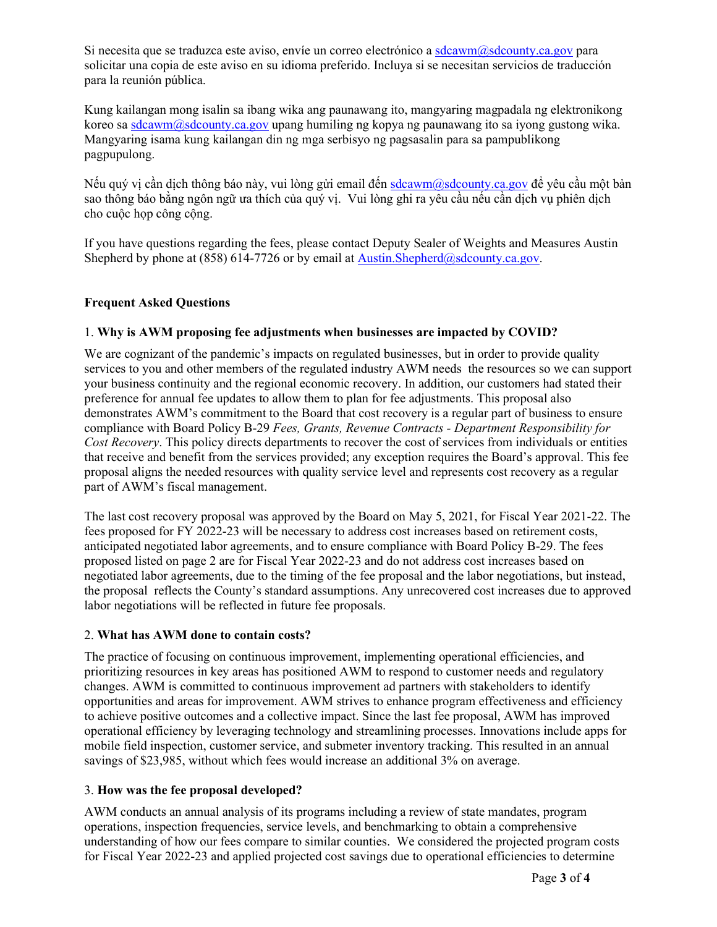Si necesita que se traduzca este aviso, envíe un correo electrónico [a sdcawm@sdcounty.ca.gov](mailto:sdcawm@sdcounty.ca.gov) para solicitar una copia de este aviso en su idioma preferido. Incluya si se necesitan servicios de traducción para la reunión pública.

Kung kailangan mong isalin sa ibang wika ang paunawang ito, mangyaring magpadala ng elektronikong koreo s[a sdcawm@sdcounty.ca.gov](mailto:sdcawm@sdcounty.ca.gov) upang humiling ng kopya ng paunawang ito sa iyong gustong wika. Mangyaring isama kung kailangan din ng mga serbisyo ng pagsasalin para sa pampublikong pagpupulong.

Nếu quý vị cần dịch thông báo này, vui lòng gửi email đến [sdcawm@sdcounty.ca.gov](mailto:sdcawm@sdcounty.ca.gov) để yêu cầu một bản sao thông báo bằng ngôn ngữ ưa thích của quý vị. Vui lòng ghi ra yêu cầu nếu cần dịch vụ phiên dịch cho cuộc họp công cộng.

If you have questions regarding the fees, please contact Deputy Sealer of Weights and Measures Austin Shepherd by phone at (858) 614-7726 or by email at [Austin.Shepherd@sdcounty.ca.gov.](mailto:austin.shepherd@sdcounty.ca.gov)

# **Frequent Asked Questions**

# 1. **Why is AWM proposing fee adjustments when businesses are impacted by COVID?**

We are cognizant of the pandemic's impacts on regulated businesses, but in order to provide quality services to you and other members of the regulated industry AWM needs the resources so we can support your business continuity and the regional economic recovery. In addition, our customers had stated their preference for annual fee updates to allow them to plan for fee adjustments. This proposal also demonstrates AWM's commitment to the Board that cost recovery is a regular part of business to ensure compliance with Board Policy B-29 *Fees, Grants, Revenue Contracts - Department Responsibility for Cost Recovery*. This policy directs departments to recover the cost of services from individuals or entities that receive and benefit from the services provided; any exception requires the Board's approval. This fee proposal aligns the needed resources with quality service level and represents cost recovery as a regular part of AWM's fiscal management.

The last cost recovery proposal was approved by the Board on May 5, 2021, for Fiscal Year 2021-22. The fees proposed for FY 2022-23 will be necessary to address cost increases based on retirement costs, anticipated negotiated labor agreements, and to ensure compliance with Board Policy B-29. The fees proposed listed on page 2 are for Fiscal Year 2022-23 and do not address cost increases based on negotiated labor agreements, due to the timing of the fee proposal and the labor negotiations, but instead, the proposal reflects the County's standard assumptions. Any unrecovered cost increases due to approved labor negotiations will be reflected in future fee proposals.

# 2. **What has AWM done to contain costs?**

The practice of focusing on continuous improvement, implementing operational efficiencies, and prioritizing resources in key areas has positioned AWM to respond to customer needs and regulatory changes. AWM is committed to continuous improvement ad partners with stakeholders to identify opportunities and areas for improvement. AWM strives to enhance program effectiveness and efficiency to achieve positive outcomes and a collective impact. Since the last fee proposal, AWM has improved operational efficiency by leveraging technology and streamlining processes. Innovations include apps for mobile field inspection, customer service, and submeter inventory tracking. This resulted in an annual savings of \$23,985, without which fees would increase an additional 3% on average.

# 3. **How was the fee proposal developed?**

AWM conducts an annual analysis of its programs including a review of state mandates, program operations, inspection frequencies, service levels, and benchmarking to obtain a comprehensive understanding of how our fees compare to similar counties. We considered the projected program costs for Fiscal Year 2022-23 and applied projected cost savings due to operational efficiencies to determine